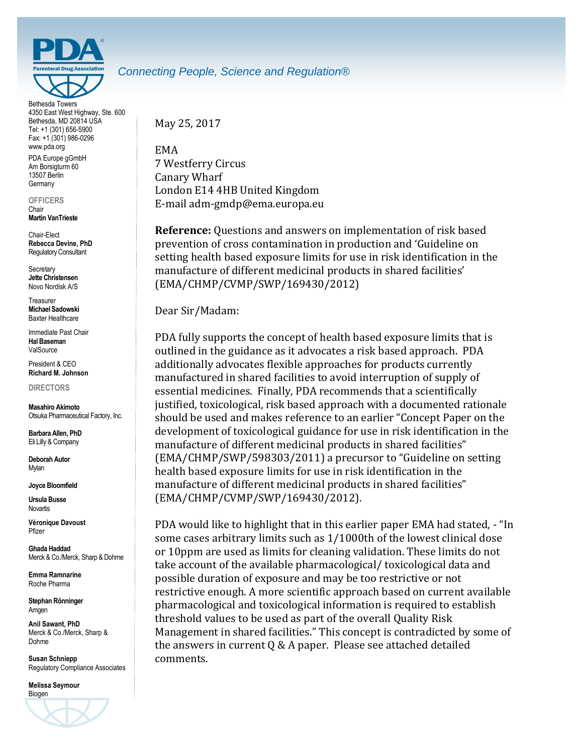

Bethesda Towers 4350 East West Highway, Ste. 600 Bethesda, MD 20814 USA Tel: +1 (301) 656-5900 Fax: +1 (301) 986-0296 www.pda.org

PDA Europe gGmbH Am Borsigturm 60 13507 Berlin **Germany** 

**OFFICERS** Chair

**Martin VanTrieste**

Chair-Elect **Rebecca Devine, PhD** Regulatory Consultant

**Secretary Jette Christensen** Novo Nordisk A/S

**Treasurer Michael Sadowski** Baxter Healthcare

Immediate Past Chair **Hal Baseman** ValSource

President & CEO **Richard M. Johnson**

**DIRECTORS**

**Masahiro Akimoto** Otsuka Pharmaceutical Factory, Inc.

**Barbara Allen, PhD** Eli Lilly & Company

**Deborah Autor** Mylan

**Joyce Bloomfield**

**Ursula Busse Novartis** 

**Véronique Davoust** Pfizer

**Ghada Haddad** Merck & Co./Merck, Sharp & Dohme

**Emma Ramnarine** Roche Pharma

**Stephan Rönninger** Amgen

**Anil Sawant, PhD** Merck & Co./Merck, Sharp & Dohme

**Susan Schniepp** Regulatory Compliance Associates

**Melissa Seymour** Biogen



### *Connecting People, Science and Regulation®*

May 25, 2017

EMA 7 Westferry Circus Canary Wharf London E14 4HB United Kingdom E-mail adm-gmdp@ema.europa.eu

**Reference:** Questions and answers on implementation of risk based prevention of cross contamination in production and 'Guideline on setting health based exposure limits for use in risk identification in the manufacture of different medicinal products in shared facilities' (EMA/CHMP/CVMP/SWP/169430/2012)

Dear Sir/Madam:

PDA fully supports the concept of health based exposure limits that is outlined in the guidance as it advocates a risk based approach. PDA additionally advocates flexible approaches for products currently manufactured in shared facilities to avoid interruption of supply of essential medicines. Finally, PDA recommends that a scientifically justified, toxicological, risk based approach with a documented rationale should be used and makes reference to an earlier "Concept Paper on the development of toxicological guidance for use in risk identification in the manufacture of different medicinal products in shared facilities" (EMA/CHMP/SWP/598303/2011) a precursor to "Guideline on setting health based exposure limits for use in risk identification in the manufacture of different medicinal products in shared facilities" (EMA/CHMP/CVMP/SWP/169430/2012).

PDA would like to highlight that in this earlier paper EMA had stated, - "In some cases arbitrary limits such as 1/1000th of the lowest clinical dose or 10ppm are used as limits for cleaning validation. These limits do not take account of the available pharmacological/ toxicological data and possible duration of exposure and may be too restrictive or not restrictive enough. A more scientific approach based on current available pharmacological and toxicological information is required to establish threshold values to be used as part of the overall Quality Risk Management in shared facilities." This concept is contradicted by some of the answers in current Q & A paper. Please see attached detailed comments.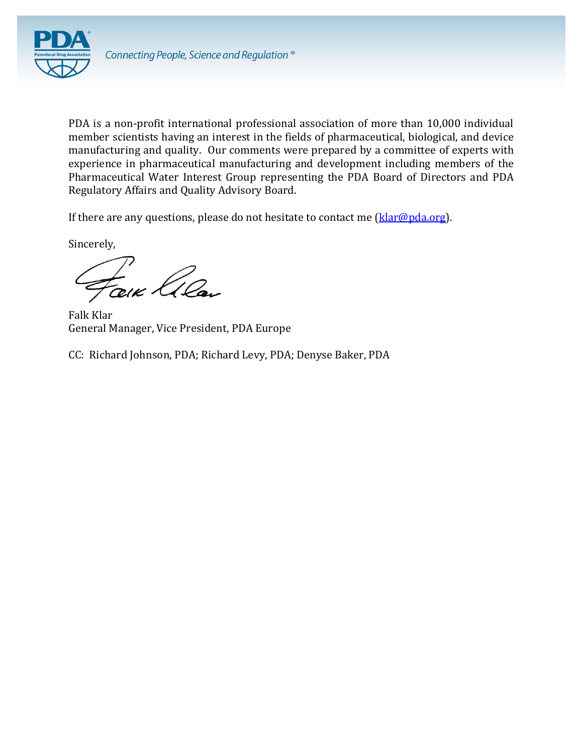

PDA is a non-profit international professional association of more than 10,000 individual member scientists having an interest in the fields of pharmaceutical, biological, and device manufacturing and quality. Our comments were prepared by a committee of experts with experience in pharmaceutical manufacturing and development including members of the Pharmaceutical Water Interest Group representing the PDA Board of Directors and PDA Regulatory Affairs and Quality Advisory Board.

If there are any questions, please do not hesitate to contact me  $(klar@pda.org)$ .

Sincerely,

Faix lila

Falk Klar General Manager, Vice President, PDA Europe

CC: Richard Johnson, PDA; Richard Levy, PDA; Denyse Baker, PDA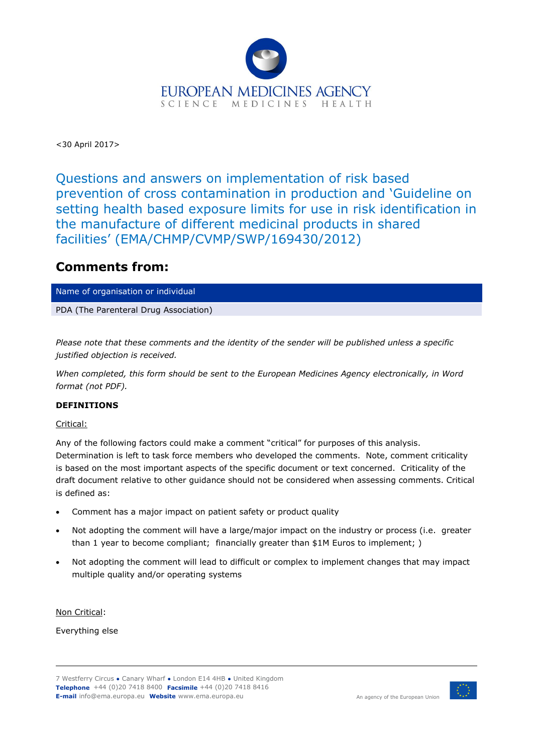

<30 April 2017>

Questions and answers on implementation of risk based prevention of cross contamination in production and 'Guideline on setting health based exposure limits for use in risk identification in the manufacture of different medicinal products in shared facilities' (EMA/CHMP/CVMP/SWP/169430/2012)

## **Comments from:**

Name of organisation or individual

PDA (The Parenteral Drug Association)

*Please note that these comments and the identity of the sender will be published unless a specific justified objection is received.*

*When completed, this form should be sent to the European Medicines Agency electronically, in Word format (not PDF).*

#### **DEFINITIONS**

Critical:

Any of the following factors could make a comment "critical" for purposes of this analysis. Determination is left to task force members who developed the comments. Note, comment criticality is based on the most important aspects of the specific document or text concerned. Criticality of the draft document relative to other guidance should not be considered when assessing comments. Critical is defined as:

- Comment has a major impact on patient safety or product quality
- Not adopting the comment will have a large/major impact on the industry or process (i.e. greater than 1 year to become compliant; financially greater than \$1M Euros to implement; )
- Not adopting the comment will lead to difficult or complex to implement changes that may impact multiple quality and/or operating systems

Non Critical:

Everything else

7 Westferry Circus **●** Canary Wharf **●** London E14 4HB **●** United Kingdom **Telephone** +44 (0)20 7418 8400 **Facsimile** +44 (0)20 7418 8416 **E-mail** info@ema.europa.eu **Website** www.ema.europa.eu

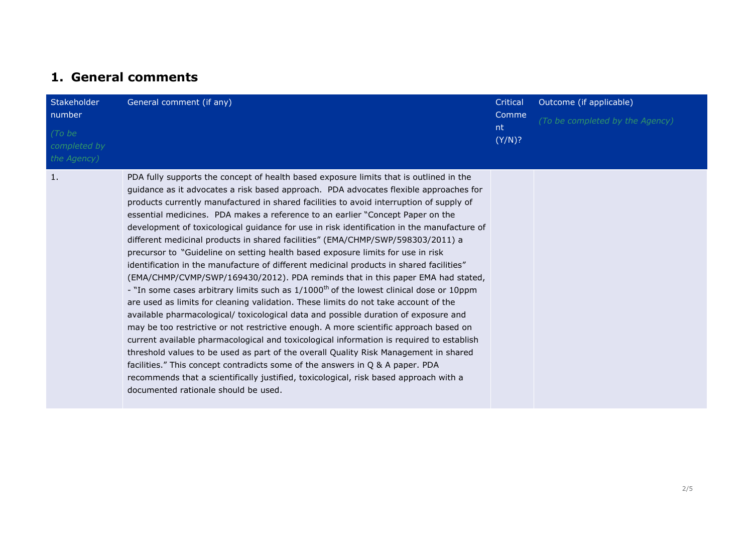## **1. General comments**

| <b>Stakeholder</b><br>number<br>(To be<br>completed by<br>the Agency) | General comment (if any)                                                                                                                                                                                                                                                                                                                                                                                                                                                                                                                                                                                                                                                                                                                                                                                                                                                                                                                                                                                                                                                                                                                                                                                                                                                                                                                                                                                                                                                                                                                                                                           | Critical<br>Comme<br>nt.<br>(Y/N)? | Outcome (if applicable)<br>(To be completed by the Agency) |
|-----------------------------------------------------------------------|----------------------------------------------------------------------------------------------------------------------------------------------------------------------------------------------------------------------------------------------------------------------------------------------------------------------------------------------------------------------------------------------------------------------------------------------------------------------------------------------------------------------------------------------------------------------------------------------------------------------------------------------------------------------------------------------------------------------------------------------------------------------------------------------------------------------------------------------------------------------------------------------------------------------------------------------------------------------------------------------------------------------------------------------------------------------------------------------------------------------------------------------------------------------------------------------------------------------------------------------------------------------------------------------------------------------------------------------------------------------------------------------------------------------------------------------------------------------------------------------------------------------------------------------------------------------------------------------------|------------------------------------|------------------------------------------------------------|
| 1.                                                                    | PDA fully supports the concept of health based exposure limits that is outlined in the<br>guidance as it advocates a risk based approach. PDA advocates flexible approaches for<br>products currently manufactured in shared facilities to avoid interruption of supply of<br>essential medicines. PDA makes a reference to an earlier "Concept Paper on the<br>development of toxicological guidance for use in risk identification in the manufacture of<br>different medicinal products in shared facilities" (EMA/CHMP/SWP/598303/2011) a<br>precursor to "Guideline on setting health based exposure limits for use in risk<br>identification in the manufacture of different medicinal products in shared facilities"<br>(EMA/CHMP/CVMP/SWP/169430/2012). PDA reminds that in this paper EMA had stated,<br>- "In some cases arbitrary limits such as 1/1000 <sup>th</sup> of the lowest clinical dose or 10ppm<br>are used as limits for cleaning validation. These limits do not take account of the<br>available pharmacological/ toxicological data and possible duration of exposure and<br>may be too restrictive or not restrictive enough. A more scientific approach based on<br>current available pharmacological and toxicological information is required to establish<br>threshold values to be used as part of the overall Quality Risk Management in shared<br>facilities." This concept contradicts some of the answers in Q & A paper. PDA<br>recommends that a scientifically justified, toxicological, risk based approach with a<br>documented rationale should be used. |                                    |                                                            |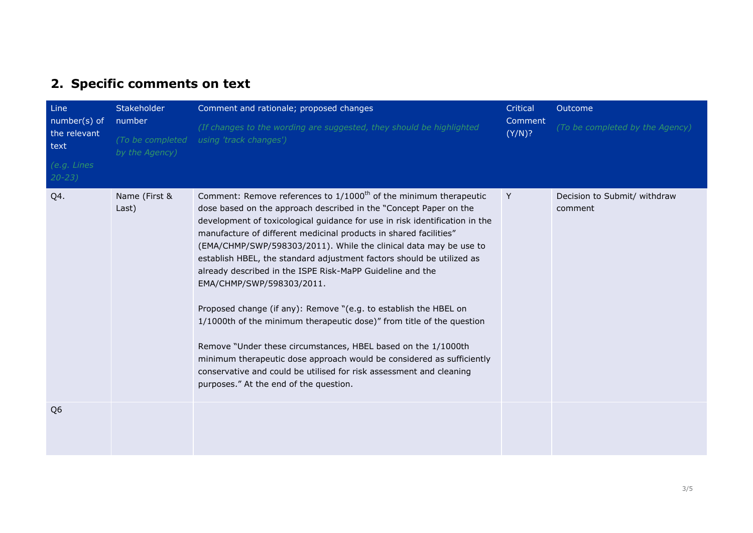# **2. Specific comments on text**

| Line<br>number(s) of<br>the relevant<br>text<br>(e.g. Lines<br>$20 - 23$ | Stakeholder<br>number<br>(To be completed<br>by the Agency) | Comment and rationale; proposed changes<br>(If changes to the wording are suggested, they should be highlighted<br>using 'track changes')                                                                                                                                                                                                                                                                                                                                                                                                                                                                                                                                                                                                                                                                                                                                                                                                              | Critical<br>Comment<br>(Y/N)? | Outcome<br>(To be completed by the Agency) |
|--------------------------------------------------------------------------|-------------------------------------------------------------|--------------------------------------------------------------------------------------------------------------------------------------------------------------------------------------------------------------------------------------------------------------------------------------------------------------------------------------------------------------------------------------------------------------------------------------------------------------------------------------------------------------------------------------------------------------------------------------------------------------------------------------------------------------------------------------------------------------------------------------------------------------------------------------------------------------------------------------------------------------------------------------------------------------------------------------------------------|-------------------------------|--------------------------------------------|
| Q4.                                                                      | Name (First &<br>Last)                                      | Comment: Remove references to 1/1000 <sup>th</sup> of the minimum therapeutic<br>dose based on the approach described in the "Concept Paper on the<br>development of toxicological guidance for use in risk identification in the<br>manufacture of different medicinal products in shared facilities"<br>(EMA/CHMP/SWP/598303/2011). While the clinical data may be use to<br>establish HBEL, the standard adjustment factors should be utilized as<br>already described in the ISPE Risk-MaPP Guideline and the<br>EMA/CHMP/SWP/598303/2011.<br>Proposed change (if any): Remove "(e.g. to establish the HBEL on<br>1/1000th of the minimum therapeutic dose)" from title of the question<br>Remove "Under these circumstances, HBEL based on the 1/1000th<br>minimum therapeutic dose approach would be considered as sufficiently<br>conservative and could be utilised for risk assessment and cleaning<br>purposes." At the end of the question. | Y                             | Decision to Submit/ withdraw<br>comment    |
| Q <sub>6</sub>                                                           |                                                             |                                                                                                                                                                                                                                                                                                                                                                                                                                                                                                                                                                                                                                                                                                                                                                                                                                                                                                                                                        |                               |                                            |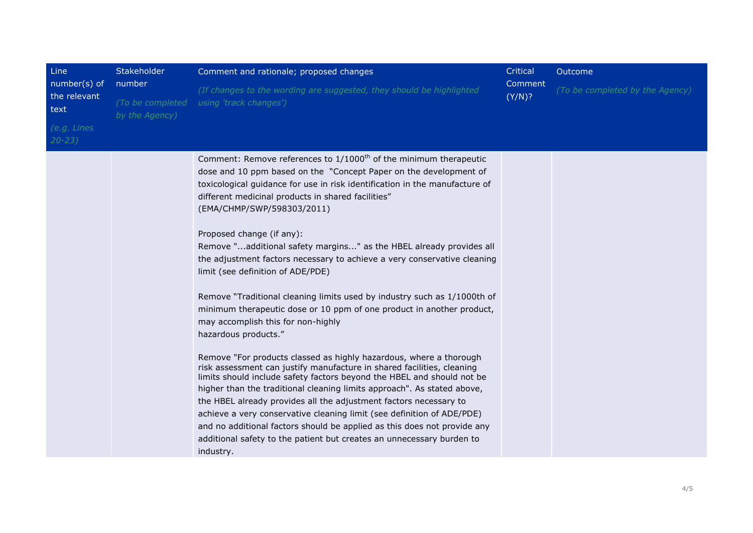| Line<br>number(s) of<br>the relevant<br>text | Stakeholder<br>number<br>(To be completed | Comment and rationale; proposed changes<br>(If changes to the wording are suggested, they should be highlighted<br>using 'track changes')                                                                                                                                                                                                                                                                                                                                                                                                                                                                                                                                                                                                                                                                                                                                                                                                                                                                                                                                                                                                                                                                                                                                                                                                                                           | Critical<br>Comment<br>(Y/N)? | Outcome<br>(To be completed by the Agency) |
|----------------------------------------------|-------------------------------------------|-------------------------------------------------------------------------------------------------------------------------------------------------------------------------------------------------------------------------------------------------------------------------------------------------------------------------------------------------------------------------------------------------------------------------------------------------------------------------------------------------------------------------------------------------------------------------------------------------------------------------------------------------------------------------------------------------------------------------------------------------------------------------------------------------------------------------------------------------------------------------------------------------------------------------------------------------------------------------------------------------------------------------------------------------------------------------------------------------------------------------------------------------------------------------------------------------------------------------------------------------------------------------------------------------------------------------------------------------------------------------------------|-------------------------------|--------------------------------------------|
| (e.g. Lines<br>$20 - 23$                     | by the Agency)                            |                                                                                                                                                                                                                                                                                                                                                                                                                                                                                                                                                                                                                                                                                                                                                                                                                                                                                                                                                                                                                                                                                                                                                                                                                                                                                                                                                                                     |                               |                                            |
|                                              |                                           | Comment: Remove references to 1/1000 <sup>th</sup> of the minimum therapeutic<br>dose and 10 ppm based on the "Concept Paper on the development of<br>toxicological guidance for use in risk identification in the manufacture of<br>different medicinal products in shared facilities"<br>(EMA/CHMP/SWP/598303/2011)<br>Proposed change (if any):<br>Remove "additional safety margins" as the HBEL already provides all<br>the adjustment factors necessary to achieve a very conservative cleaning<br>limit (see definition of ADE/PDE)<br>Remove "Traditional cleaning limits used by industry such as 1/1000th of<br>minimum therapeutic dose or 10 ppm of one product in another product,<br>may accomplish this for non-highly<br>hazardous products."<br>Remove "For products classed as highly hazardous, where a thorough<br>risk assessment can justify manufacture in shared facilities, cleaning<br>limits should include safety factors beyond the HBEL and should not be<br>higher than the traditional cleaning limits approach". As stated above,<br>the HBEL already provides all the adjustment factors necessary to<br>achieve a very conservative cleaning limit (see definition of ADE/PDE)<br>and no additional factors should be applied as this does not provide any<br>additional safety to the patient but creates an unnecessary burden to<br>industry. |                               |                                            |